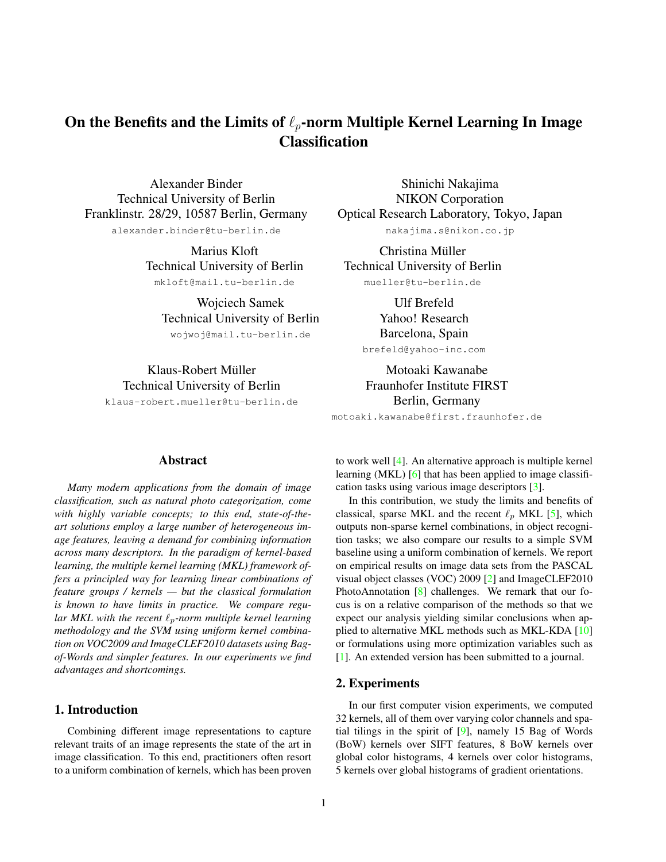# <span id="page-0-0"></span>On the Benefits and the Limits of  $\ell_p$ -norm Multiple Kernel Learning In Image **Classification**

Alexander Binder Technical University of Berlin Franklinstr. 28/29, 10587 Berlin, Germany alexander.binder@tu-berlin.de

> Marius Kloft Technical University of Berlin mkloft@mail.tu-berlin.de

Wojciech Samek Technical University of Berlin

wojwoj@mail.tu-berlin.de

Klaus-Robert Müller Technical University of Berlin

klaus-robert.mueller@tu-berlin.de

Shinichi Nakajima NIKON Corporation Optical Research Laboratory, Tokyo, Japan nakajima.s@nikon.co.jp

Christina Müller Technical University of Berlin mueller@tu-berlin.de

> Ulf Brefeld Yahoo! Research Barcelona, Spain

brefeld@yahoo-inc.com

Motoaki Kawanabe Fraunhofer Institute FIRST Berlin, Germany

motoaki.kawanabe@first.fraunhofer.de

# Abstract

*Many modern applications from the domain of image classification, such as natural photo categorization, come with highly variable concepts; to this end, state-of-theart solutions employ a large number of heterogeneous image features, leaving a demand for combining information across many descriptors. In the paradigm of kernel-based learning, the multiple kernel learning (MKL) framework offers a principled way for learning linear combinations of feature groups / kernels — but the classical formulation is known to have limits in practice. We compare regular MKL with the recent*  $\ell_p$ -norm multiple kernel learning *methodology and the SVM using uniform kernel combination on VOC2009 and ImageCLEF2010 datasets using Bagof-Words and simpler features. In our experiments we find advantages and shortcomings.*

### 1. Introduction

Combining different image representations to capture relevant traits of an image represents the state of the art in image classification. To this end, practitioners often resort to a uniform combination of kernels, which has been proven

to work well [\[4\]](#page-2-0). An alternative approach is multiple kernel learning (MKL) [\[6\]](#page-2-1) that has been applied to image classification tasks using various image descriptors [\[3\]](#page-2-2).

In this contribution, we study the limits and benefits of classical, sparse MKL and the recent  $\ell_p$  MKL [\[5\]](#page-2-3), which outputs non-sparse kernel combinations, in object recognition tasks; we also compare our results to a simple SVM baseline using a uniform combination of kernels. We report on empirical results on image data sets from the PASCAL visual object classes (VOC) 2009 [\[2\]](#page-2-4) and ImageCLEF2010 PhotoAnnotation [\[8\]](#page-2-5) challenges. We remark that our focus is on a relative comparison of the methods so that we expect our analysis yielding similar conclusions when applied to alternative MKL methods such as MKL-KDA [\[10\]](#page-2-6) or formulations using more optimization variables such as [\[1\]](#page-1-0). An extended version has been submitted to a journal.

#### 2. Experiments

In our first computer vision experiments, we computed 32 kernels, all of them over varying color channels and spatial tilings in the spirit of [\[9\]](#page-2-7), namely 15 Bag of Words (BoW) kernels over SIFT features, 8 BoW kernels over global color histograms, 4 kernels over color histograms, 5 kernels over global histograms of gradient orientations.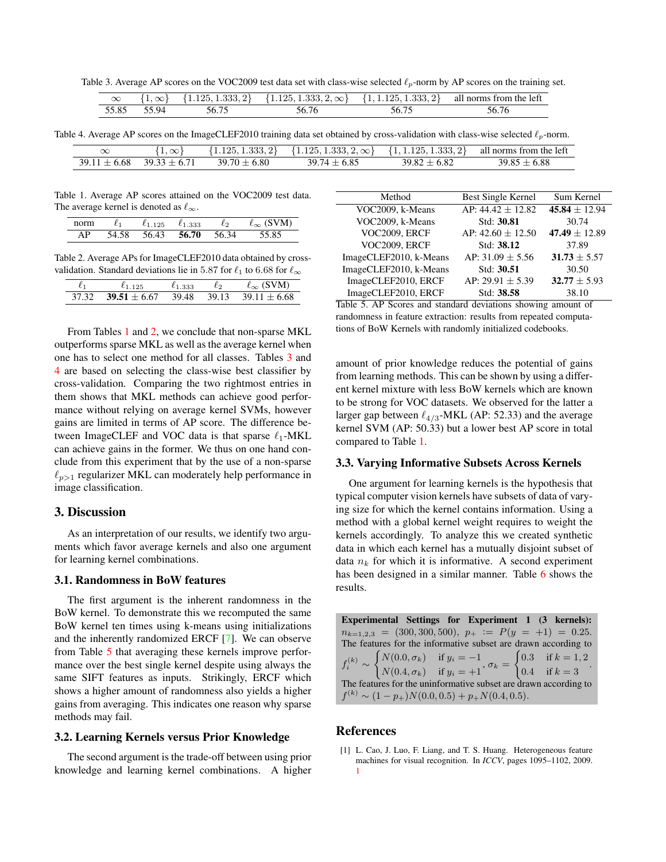<span id="page-1-6"></span>Table 3. Average AP scores on the VOC2009 test data set with class-wise selected  $\ell_p$ -norm by AP scores on the training set.

<span id="page-1-3"></span>

| $\infty$ | $\{1,\infty\}$ |       | $\{1.125, 1.333, 2\}$ $\{1.125, 1.333, 2, \infty\}$ $\{1, 1.125, 1.333, 2\}$ all norms from the left |       |       |
|----------|----------------|-------|------------------------------------------------------------------------------------------------------|-------|-------|
|          | 55.85 55.94    | 56.75 | 56.76                                                                                                | 56.75 | 56.76 |

Table 4. Average AP scores on the ImageCLEF2010 training data set obtained by cross-validation with class-wise selected  $\ell_p$ -norm.

<span id="page-1-4"></span>

| $\propto$      | $1, \infty$    | . .333. 2}-<br>$1.125$ , $^{\circ}$ | $\{1.125, 1.333, 2, \infty\}$ | , 1.125, 1.333, 2 | all norms from the left |
|----------------|----------------|-------------------------------------|-------------------------------|-------------------|-------------------------|
| 39 11<br>-6.68 | $39.33 + 6.71$ | 6.80                                | $\frac{1}{1}$<br>\Ч           |                   | 6.88                    |

<span id="page-1-1"></span>Table 1. Average AP scores attained on the VOC2009 test data. The average kernel is denoted as  $\ell_{\infty}$ .

| Ł1         | 25    | $\ell_1$<br>.333 | l9.   | 'M) |
|------------|-------|------------------|-------|-----|
| 58<br>71 . | 56.43 | 56.70            | 56.34 |     |

<span id="page-1-2"></span>Table 2. Average APs for ImageCLEF2010 data obtained by crossvalidation. Standard deviations lie in 5.87 for  $\ell_1$  to 6.68 for  $\ell_{\infty}$ 

| $\ell_{1\,125}$ $\ell_{1\,333}$                       | $\ell_2$ | $\ell_{\infty}$ (SVM) |
|-------------------------------------------------------|----------|-----------------------|
| $37.32$ $39.51 + 6.67$ $39.48$ $39.13$ $39.11 + 6.68$ |          |                       |

From Tables [1](#page-1-1) and [2,](#page-1-2) we conclude that non-sparse MKL outperforms sparse MKL as well as the average kernel when one has to select one method for all classes. Tables [3](#page-1-3) and [4](#page-1-4) are based on selecting the class-wise best classifier by cross-validation. Comparing the two rightmost entries in them shows that MKL methods can achieve good performance without relying on average kernel SVMs, however gains are limited in terms of AP score. The difference between ImageCLEF and VOC data is that sparse  $\ell_1$ -MKL can achieve gains in the former. We thus on one hand conclude from this experiment that by the use of a non-sparse  $\ell_{p>1}$  regularizer MKL can moderately help performance in image classification.

#### 3. Discussion

As an interpretation of our results, we identify two arguments which favor average kernels and also one argument for learning kernel combinations.

#### 3.1. Randomness in BoW features

The first argument is the inherent randomness in the BoW kernel. To demonstrate this we recomputed the same BoW kernel ten times using k-means using initializations and the inherently randomized ERCF [\[7\]](#page-2-8). We can observe from Table [5](#page-1-5) that averaging these kernels improve performance over the best single kernel despite using always the same SIFT features as inputs. Strikingly, ERCF which shows a higher amount of randomness also yields a higher gains from averaging. This indicates one reason why sparse methods may fail.

#### 3.2. Learning Kernels versus Prior Knowledge

The second argument is the trade-off between using prior knowledge and learning kernel combinations. A higher

| Method                 | Best Single Kernel    | Sum Kernel        |
|------------------------|-----------------------|-------------------|
| VOC2009, k-Means       | AP: $44.42 \pm 12.82$ | 45.84 $\pm$ 12.94 |
| VOC2009, k-Means       | Std: 30.81            | 30.74             |
| VOC2009, ERCF          | AP: $42.60 \pm 12.50$ | 47.49 $\pm$ 12.89 |
| VOC2009, ERCF          | Std: 38.12            | 37.89             |
| ImageCLEF2010, k-Means | AP: $31.09 \pm 5.56$  | $31.73 \pm 5.57$  |
| ImageCLEF2010, k-Means | Std: 30.51            | 30.50             |
| ImageCLEF2010, ERCF    | AP: 29.91 $\pm$ 5.39  | $32.77 \pm 5.93$  |
| ImageCLEF2010, ERCF    | Std: 38.58            | 38.10             |

<span id="page-1-5"></span>Table 5. AP Scores and standard deviations showing amount of randomness in feature extraction: results from repeated computations of BoW Kernels with randomly initialized codebooks.

amount of prior knowledge reduces the potential of gains from learning methods. This can be shown by using a different kernel mixture with less BoW kernels which are known to be strong for VOC datasets. We observed for the latter a larger gap between  $\ell_{4/3}$ -MKL (AP: 52.33) and the average kernel SVM (AP: 50.33) but a lower best AP score in total compared to Table [1.](#page-1-1)

#### 3.3. Varying Informative Subsets Across Kernels

One argument for learning kernels is the hypothesis that typical computer vision kernels have subsets of data of varying size for which the kernel contains information. Using a method with a global kernel weight requires to weight the kernels accordingly. To analyze this we created synthetic data in which each kernel has a mutually disjoint subset of data  $n_k$  for which it is informative. A second experiment has been designed in a similar manner. Table [6](#page-2-9) shows the results.

Experimental Settings for Experiment 1 (3 kernels):  $n_{k=1,2,3} = (300, 300, 500), p_{+} := P(y = +1) = 0.25.$ The features for the informative subset are drawn according to  $f_i^{(k)}\sim$  $\int N(0.0, \sigma_k) \quad \text{if } y_i = -1$  $N(0.4, \sigma_k)$  if  $y_i = +1$ ,  $\sigma_k =$  $\int 0.3$  if  $k = 1, 2$ 0.4 if  $k = 3$ The features for the uninformative subset are drawn according to  $f^{(k)} \sim (1-p_+) N(0.0, 0.5) + p_+ N(0.4, 0.5).$ 

# References

<span id="page-1-0"></span>[1] L. Cao, J. Luo, F. Liang, and T. S. Huang. Heterogeneous feature machines for visual recognition. In *ICCV*, pages 1095–1102, 2009. [1](#page-0-0)